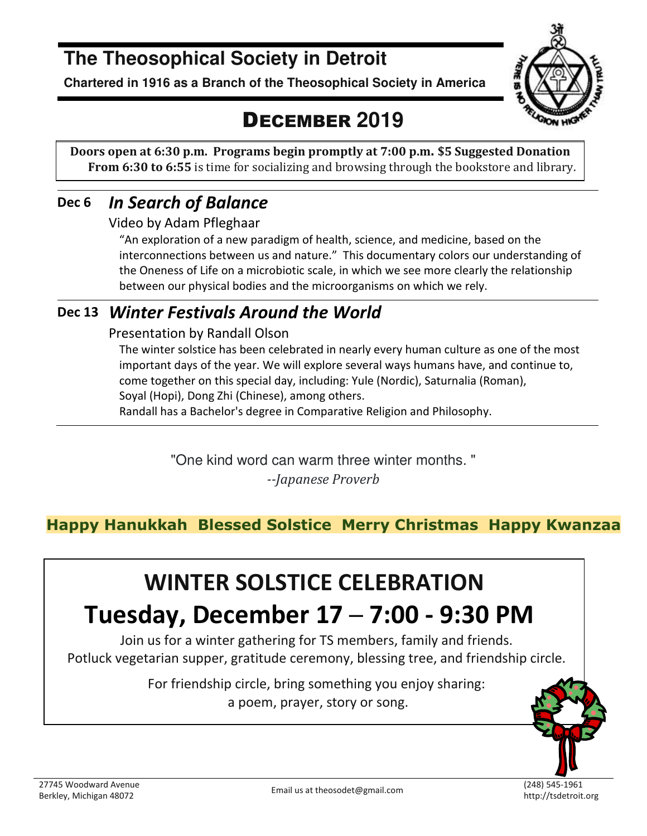# **The Theosophical Society in Detroit**

**Chartered in 1916 as a Branch of the Theosophical Society in America** 



# DECEMBER **2019**

**Doors open at 6:30 p.m. Programs begin promptly at 7:00 p.m. \$5 Suggested Donation From 6:30 to 6:55** is time for socializing and browsing through the bookstore and library.

### **Dec 6** *In Search of Balance*

Video by Adam Pfleghaar

"An exploration of a new paradigm of health, science, and medicine, based on the interconnections between us and nature." This documentary colors our understanding of the Oneness of Life on a microbiotic scale, in which we see more clearly the relationship between our physical bodies and the microorganisms on which we rely.

### **Dec 13** *Winter Festivals Around the World*

#### Presentation by Randall Olson

The winter solstice has been celebrated in nearly every human culture as one of the most important days of the year. We will explore several ways humans have, and continue to, come together on this special day, including: Yule (Nordic), Saturnalia (Roman), Soyal (Hopi), Dong Zhi (Chinese), among others.

Randall has a Bachelor's degree in Comparative Religion and Philosophy.

"One kind word can warm three winter months. " *--Japanese Proverb*

**Happy Hanukkah Blessed Solstice Merry Christmas Happy Kwanzaa**

# **WINTER SOLSTICE CELEBRATION**

# **Tuesday, December 17 ─ 7:00 - 9:30 PM**

Join us for a winter gathering for TS members, family and friends. Potluck vegetarian supper, gratitude ceremony, blessing tree, and friendship circle.

> For friendship circle, bring something you enjoy sharing: a poem, prayer, story or song.



27745 Woodward Avenue Berkley, Michigan 48072 Email us at theosodet@gmail.com (248) 545-1961